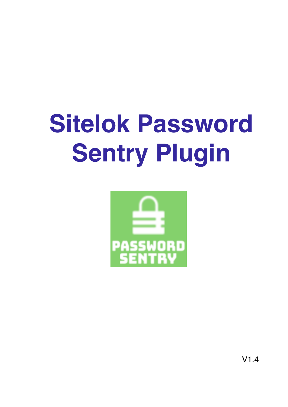# **Sitelok Password Sentry Plugin**



 $V1.4$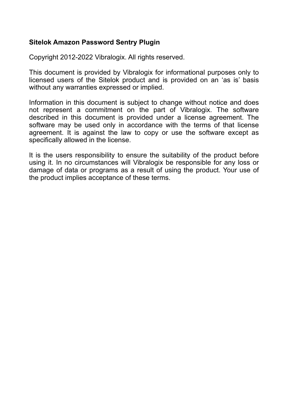#### **Sitelok Amazon Password Sentry Plugin**

Copyright 2012-2022 Vibralogix. All rights reserved.

This document is provided by Vibralogix for informational purposes only to licensed users of the Sitelok product and is provided on an 'as is' basis without any warranties expressed or implied.

Information in this document is subject to change without notice and does not represent a commitment on the part of Vibralogix. The software described in this document is provided under a license agreement. The software may be used only in accordance with the terms of that license agreement. It is against the law to copy or use the software except as specifically allowed in the license.

It is the users responsibility to ensure the suitability of the product before using it. In no circumstances will Vibralogix be responsible for any loss or damage of data or programs as a result of using the product. Your use of the product implies acceptance of these terms.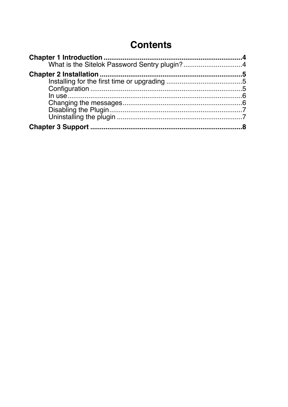# **Contents**

| What is the Sitelok Password Sentry plugin?4 |
|----------------------------------------------|
|                                              |
|                                              |
|                                              |
|                                              |
|                                              |
|                                              |
|                                              |
|                                              |
|                                              |
|                                              |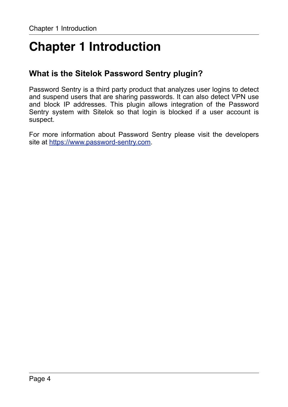# <span id="page-3-0"></span>**Chapter 1 Introduction**

## <span id="page-3-1"></span>**What is the Sitelok Password Sentry plugin?**

Password Sentry is a third party product that analyzes user logins to detect and suspend users that are sharing passwords. It can also detect VPN use and block IP addresses. This plugin allows integration of the Password Sentry system with Sitelok so that login is blocked if a user account is suspect.

For more information about Password Sentry please visit the developers site at <https://www.password-sentry.com>.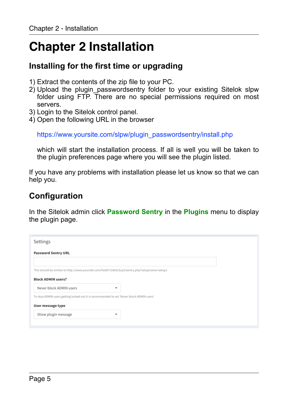# <span id="page-4-0"></span>**Chapter 2 Installation**

## <span id="page-4-1"></span>**Installing for the first time or upgrading**

- 1) Extract the contents of the zip file to your PC.
- 2) Upload the plugin\_passwordsentry folder to your existing Sitelok slpw folder using FTP. There are no special permissions required on most servers.
- 3) Login to the Sitelok control panel.
- 4) Open the following URL in the browser

https://www.yoursite.com/slpw/plugin\_passwordsentry/install.php

which will start the installation process. If all is well you will be taken to the plugin preferences page where you will see the plugin listed.

If you have any problems with installation please let us know so that we can help you.

# <span id="page-4-2"></span>**Configuration**

In the Sitelok admin click **Password Sentry** in the **Plugins** menu to display the plugin page.

| Settings                                                                                      |  |
|-----------------------------------------------------------------------------------------------|--|
| <b>Password Sentry URL</b>                                                                    |  |
|                                                                                               |  |
| This should be similar to http://www.yoursite.com/hed67r2det23uy3/sentry.php?setupname=setup1 |  |
| <b>Block ADMIN users?</b>                                                                     |  |
| Never block ADMIN users<br>٠                                                                  |  |
| To stop ADMIN users getting locked out it is recommended to set 'Never block ADMIN users'     |  |
| User message type                                                                             |  |
| Show plugin message<br>$\checkmark$                                                           |  |
|                                                                                               |  |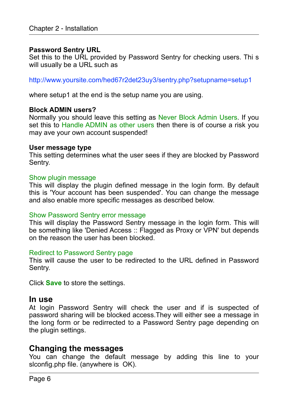#### **Password Sentry URL**

Set this to the URL provided by Password Sentry for checking users. Thi s will usually be a URL such as

http://www.yoursite.com/hed67r2det23uy3/sentry.php?setupname=setup1

where setup1 at the end is the setup name you are using.

#### **Block ADMIN users?**

Normally you should leave this setting as Never Block Admin Users. If you set this to Handle ADMIN as other users then there is of course a risk you may ave your own account suspended!

#### **User message type**

This setting determines what the user sees if they are blocked by Password Sentry.

#### Show plugin message

This will display the plugin defined message in the login form. By default this is 'Your account has been suspended'. You can change the message and also enable more specific messages as described below.

#### Show Password Sentry error message

This will display the Password Sentry message in the login form. This will be something like 'Denied Access :: Flagged as Proxy or VPN' but depends on the reason the user has been blocked.

#### Redirect to Password Sentry page

This will cause the user to be redirected to the URL defined in Password Sentry.

Click **Save** to store the settings.

#### <span id="page-5-0"></span>**In use**

At login Password Sentry will check the user and if is suspected of password sharing will be blocked access.They will either see a message in the long form or be redirrected to a Password Sentry page depending on the plugin settings.

#### <span id="page-5-1"></span>**Changing the messages**

You can change the default message by adding this line to your slconfig.php file. (anywhere is OK).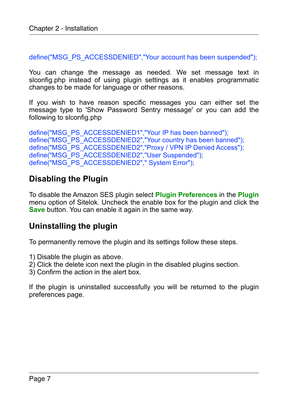define("MSG\_PS\_ACCESSDENIED","Your account has been suspended");

You can change the message as needed. We set message text in slconfig.php instead of using plugin settings as it enables programmatic changes to be made for language or other reasons.

If you wish to have reason specific messages you can either set the message type to 'Show Password Sentry message' or you can add the following to slconfig.php

define("MSG\_PS\_ACCESSDENIED1","Your IP has been banned"); define("MSG\_PS\_ACCESSDENIED2","Your country has been banned"); define("MSG\_PS\_ACCESSDENIED2","Proxy / VPN IP Denied Access"); define("MSG\_PS\_ACCESSDENIED2","User Suspended"); define("MSG\_PS\_ACCESSDENIED2"," System Error");

## <span id="page-6-0"></span>**Disabling the Plugin**

To disable the Amazon SES plugin select **Plugin Preferences** in the **Plugin** menu option of Sitelok. Uncheck the enable box for the plugin and click the **Save** button. You can enable it again in the same way.

### <span id="page-6-1"></span>**Uninstalling the plugin**

To permanently remove the plugin and its settings follow these steps.

- 1) Disable the plugin as above.
- 2) Click the delete icon next the plugin in the disabled plugins section.
- 3) Confirm the action in the alert box.

If the plugin is uninstalled successfully you will be returned to the plugin preferences page.